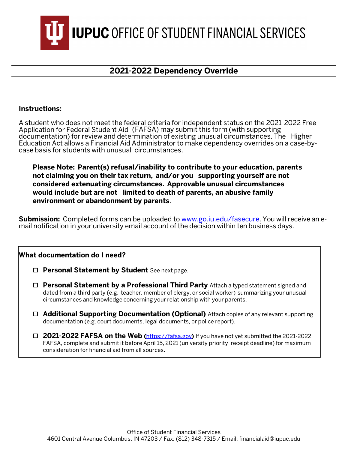**IUPUC** OFFICE OF STUDENT FINANCIAL SERVICES

## **2021-2022 Dependency Override**

## **Instructions:**

A student who does not meet the federal criteria for independent status on the 2021-2022 Free Application for Federal Student Aid (FAFSA) may submit this form (with supporting documentation) for review and determination of existing unusual circumstances. The Higher Education Act allows a Financial Aid Administrator to make dependency overrides on a case-bycase basis for students with unusual circumstances.

**Please Note: Parent(s) refusal/inability to contribute to your education, parents not claiming you on their tax return, and/or you supporting yourself are not considered extenuating circumstances. Approvable unusual circumstances would include but are not limited to death of parents, an abusive family environment or abandonment by parents**.

**Submission:** Completed forms can be uploaded to **www.go.iu.edu/fasecure**. You will receive an email notification in your university email account of the decision within ten business days.

## **What documentation do I need?**

- **Personal Statement by Student** See next page.
- **Personal Statement by a Professional Third Party** Attach a typed statement signed and dated from a third party (e.g. teacher, member of clergy, or social worker) summarizing your unusual circumstances and knowledge concerning your relationship with your parents.
- **Additional Supporting Documentation (Optional)** Attach copies of any relevant supporting documentation (e.g. court documents, legal documents, or police report).
- **2021-2022 FAFSA on the Web (**[https://fafsa.gov](http://www.fafsa.gov/)**)** If you have not yet submitted the 2021-2022 FAFSA, complete and submit it before April 15, 2021 (university priority receipt deadline) for maximum consideration for financial aid from all sources.